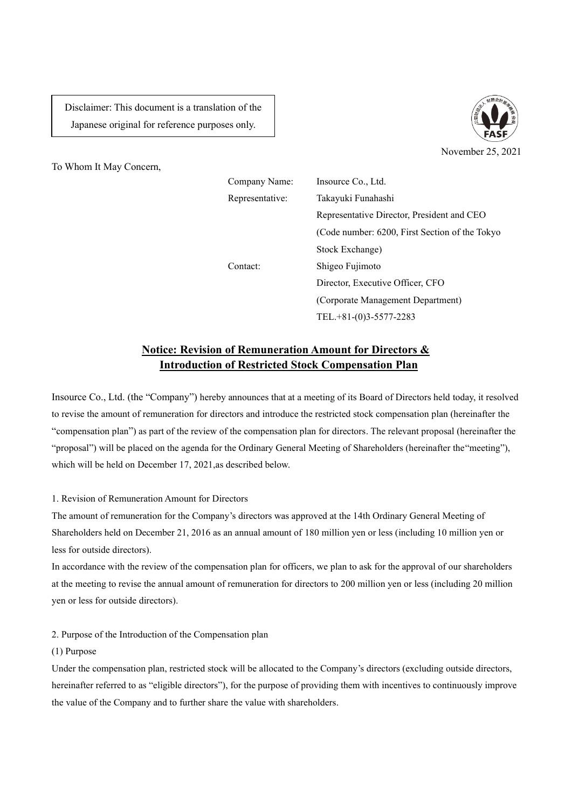Disclaimer: This document is a translation of the Japanese original for reference purposes only.





Company Name: Insource Co., Ltd. Representative: Takayuki Funahashi Representative Director, President and CEO (Code number: 6200, First Section of the Tokyo Stock Exchange) Contact: Shigeo Fujimoto Director, Executive Officer, CFO (Corporate Management Department) TEL.+81-(0)3-5577-2283

# **Notice: Revision of Remuneration Amount for Directors & Introduction of Restricted Stock Compensation Plan**

Insource Co., Ltd. (the "Company") hereby announces that at a meeting of its Board of Directors held today, it resolved to revise the amount of remuneration for directors and introduce the restricted stock compensation plan (hereinafter the "compensation plan") as part of the review of the compensation plan for directors. The relevant proposal (hereinafter the "proposal") will be placed on the agenda for the Ordinary General Meeting of Shareholders (hereinafter the "meeting"), which will be held on December 17, 2021,as described below.

## 1. Revision of Remuneration Amount for Directors

The amount of remuneration for the Company's directors was approved at the 14th Ordinary General Meeting of Shareholders held on December 21, 2016 as an annual amount of 180 million yen or less (including 10 million yen or less for outside directors).

In accordance with the review of the compensation plan for officers, we plan to ask for the approval of our shareholders at the meeting to revise the annual amount of remuneration for directors to 200 million yen or less (including 20 million yen or less for outside directors).

#### 2. Purpose of the Introduction of the Compensation plan

(1) Purpose

Under the compensation plan, restricted stock will be allocated to the Company's directors (excluding outside directors, hereinafter referred to as "eligible directors"), for the purpose of providing them with incentives to continuously improve the value of the Company and to further share the value with shareholders.